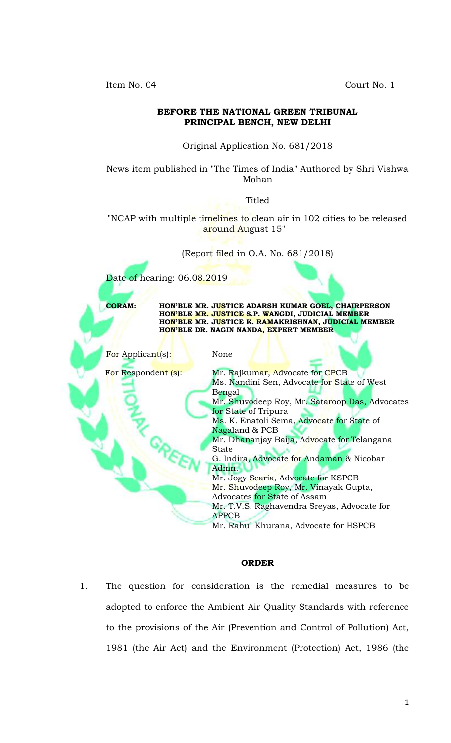Item No. 04 Court No. 1



#### **ORDER**

1. The question for consideration is the remedial measures to be adopted to enforce the Ambient Air Quality Standards with reference to the provisions of the Air (Prevention and Control of Pollution) Act, 1981 (the Air Act) and the Environment (Protection) Act, 1986 (the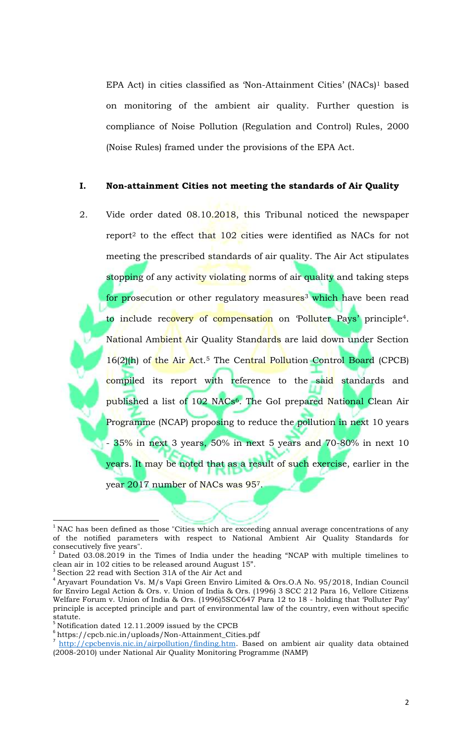EPA Act) in cities classified as 'Non-Attainment Cities' (NACs)<sup>1</sup> based on monitoring of the ambient air quality. Further question is compliance of Noise Pollution (Regulation and Control) Rules, 2000 (Noise Rules) framed under the provisions of the EPA Act.

#### **I. Non-attainment Cities not meeting the standards of Air Quality**

2. Vide order dated 08.10.2018, this Tribunal noticed the newspaper report<sup>2</sup> to the effect that 102 cities were identified as NACs for not meeting the prescribed standards of air quality. The Air Act stipulates stopping of any activity violating norms of air quality and taking steps for prosecution or other regulatory measures<sup>3</sup> which have been read to include recovery of compensation on 'Polluter Pays' principle<sup>4</sup>. National Ambient Air Quality Standards are laid down under Section 16(2)(h) of the Air Act.<sup>5</sup> The Central Pollution Control Board (CPCB) compiled its report with reference to the said standards and published a list of 102 NACs6. The GoI prepared National Clean Air Programme (NCAP) proposing to reduce the pollution in next 10 years - 35% in next 3 years, 50% in next 5 years and 70-80% in next 10 years. It may be noted that as a result of such exercise, earlier in the year 2017 number of NACs was 957.

 $1$  NAC has been defined as those "Cities which are exceeding annual average concentrations of any of the notified parameters with respect to National Ambient Air Quality Standards for consecutively five years".

 $2$  Dated 03.08.2019 in the Times of India under the heading "NCAP with multiple timelines to clean air in 102 cities to be released around August 15".

<sup>&</sup>lt;sup>3</sup> Section 22 read with Section 31A of the Air Act and

<sup>4</sup> Aryavart Foundation Vs. M/s Vapi Green Enviro Limited & Ors.O.A No. 95/2018, Indian Council for Enviro Legal Action & Ors. v. Union of India & Ors. (1996) 3 SCC 212 Para 16, Vellore Citizens Welfare Forum v. Union of India & Ors. (1996)5SCC647 Para 12 to 18 - holding that 'Polluter Pay' principle is accepted principle and part of environmental law of the country, even without specific statute.

 $5$  Notification dated 12.11.2009 issued by the CPCB

<sup>6</sup> https://cpcb.nic.in/uploads/Non-Attainment\_Cities.pdf

<sup>7</sup> http://cpcbenvis.nic.in/airpollution/finding.htm. Based on ambient air quality data obtained (2008-2010) under National Air Quality Monitoring Programme (NAMP)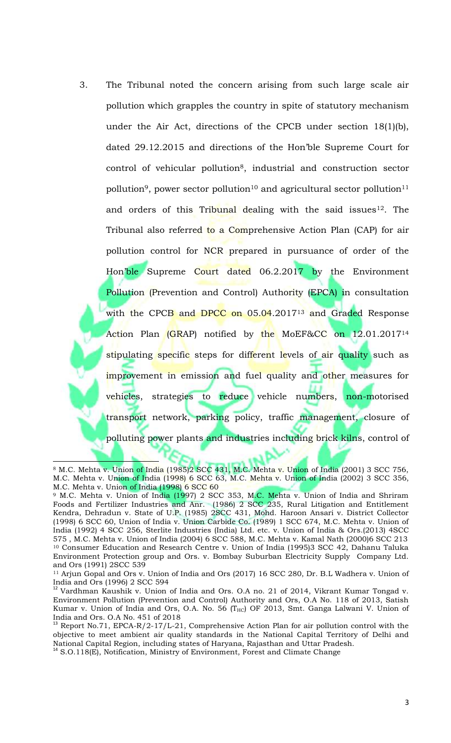3. The Tribunal noted the concern arising from such large scale air pollution which grapples the country in spite of statutory mechanism under the Air Act, directions of the CPCB under section 18(1)(b), dated 29.12.2015 and directions of the Hon'ble Supreme Court for control of vehicular pollution<sup>8</sup>, industrial and construction sector pollution<sup>9</sup>, power sector pollution<sup>10</sup> and agricultural sector pollution<sup>11</sup> and orders of this Tribunal dealing with the said issues<sup>12</sup>. The Tribunal also referred to a Comprehensive Action Plan (CAP) for air pollution control for NCR prepared in pursuance of order of the Hon'ble Supreme Court dated 06.2.2017 by the Environment Pollution (Prevention and Control) Authority (EPCA) in consultation with the CPCB and DPCC on 05.04.2017<sup>13</sup> and Graded Response Action Plan (GRAP) notified by the MoEF&CC on 12.01.2017<sup>14</sup> stipulating specific steps for different levels of air quality such as improvement in emission and fuel quality and other measures for vehicles, strategies to reduce vehicle numbers, non-motorised transport network, parking policy, traffic management, closure of polluting power plants and industries including brick kilns, control of

<sup>8</sup> M.C. Mehta v. Union of India (1985)2 SCC 431, M.C. Mehta v. Union of India (2001) 3 SCC 756, M.C. Mehta v. Union of India (1998) 6 SCC 63, M.C. Mehta v. Union of India (2002) 3 SCC 356, M.C. Mehta v. Union of India (1998) 6 SCC 60

<sup>&</sup>lt;sup>9</sup> M.C. Mehta v. Union of India (1997) 2 SCC 353, M.C. Mehta v. Union of India and Shriram Foods and Fertilizer Industries and Anr. (1986) 2 SCC 235, Rural Litigation and Entitlement Kendra, Dehradun v. State of U.P. (1985) 2SCC 431, Mohd. Haroon Ansari v. District Collector (1998) 6 SCC 60, Union of India v. Union Carbide Co. (1989) 1 SCC 674, M.C. Mehta v. Union of India (1992) 4 SCC 256, Sterlite Industries (India) Ltd. etc. v. Union of India & Ors.(2013) 4SCC 575 , M.C. Mehta v. Union of India (2004) 6 SCC 588, M.C. Mehta v. Kamal Nath (2000)6 SCC 213 <sup>10</sup> Consumer Education and Research Centre v. Union of India (1995)3 SCC 42, Dahanu Taluka Environment Protection group and Ors. v. Bombay Suburban Electricity Supply Company Ltd. and Ors (1991) 2SCC 539

<sup>11</sup> Arjun Gopal and Ors v. Union of India and Ors (2017) 16 SCC 280, Dr. B.L Wadhera v. Union of India and Ors (1996) 2 SCC 594

<sup>&</sup>lt;sup>12</sup> Vardhman Kaushik v. Union of India and Ors. O.A no. 21 of 2014, Vikrant Kumar Tongad v. Environment Pollution (Prevention and Control) Authority and Ors, O.A No. 118 of 2013, Satish Kumar v. Union of India and Ors, O.A. No. 56 (THC) OF 2013, Smt. Ganga Lalwani V. Union of India and Ors. O.A No. 451 of 2018

 $13$  Report No.71, EPCA-R/2-17/L-21, Comprehensive Action Plan for air pollution control with the objective to meet ambient air quality standards in the National Capital Territory of Delhi and National Capital Region, including states of Haryana, Rajasthan and Uttar Pradesh.

<sup>&</sup>lt;sup>14</sup> S.O.118(E), Notification, Ministry of Environment, Forest and Climate Change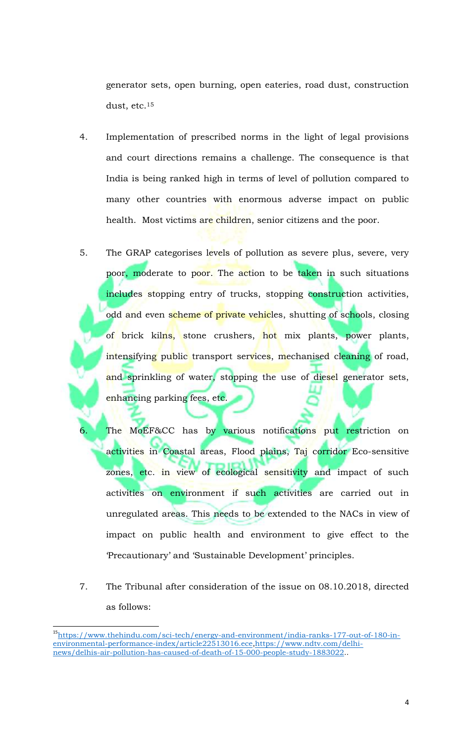generator sets, open burning, open eateries, road dust, construction dust, etc.<sup>15</sup>

- 4. Implementation of prescribed norms in the light of legal provisions and court directions remains a challenge. The consequence is that India is being ranked high in terms of level of pollution compared to many other countries with enormous adverse impact on public health. Most victims are children, senior citizens and the poor.
- 5. The GRAP categorises levels of pollution as severe plus, severe, very poor, moderate to poor. The action to be taken in such situations includes stopping entry of trucks, stopping construction activities, odd and even scheme of private vehicles, shutting of schools, closing of brick kilns, stone crushers, hot mix plants, power plants, intensifying public transport services, mechanised cleaning of road, and sprinkling of water, stopping the use of diesel generator sets, enhancing parking fees, etc.

6. The MoEF&CC has by various notifications put restriction on activities in Coastal areas, Flood plains, Taj corridor Eco-sensitive zones, etc. in view of ecological sensitivity and impact of such activities on environment if such activities are carried out in unregulated areas. This needs to be extended to the NACs in view of impact on public health and environment to give effect to the 'Precautionary' and 'Sustainable Development' principles.

7. The Tribunal after consideration of the issue on 08.10.2018, directed as follows:

l

<sup>&</sup>lt;sup>15</sup>https://www.thehindu.com/sci-tech/energy-and-environment/india-ranks-177-out-of-180-inenvironmental-performance-index/article22513016.ece,https://www.ndtv.com/delhinews/delhis-air-pollution-has-caused-of-death-of-15-000-people-study-1883022..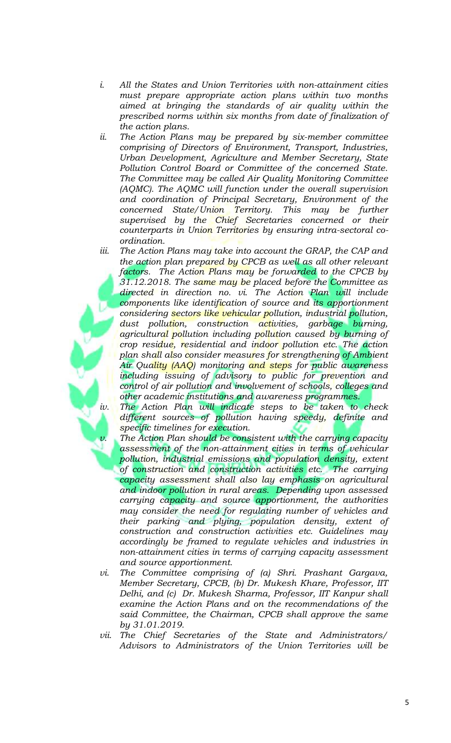- *i. All the States and Union Territories with non-attainment cities must prepare appropriate action plans within two months aimed at bringing the standards of air quality within the prescribed norms within six months from date of finalization of the action plans.*
- *ii. The Action Plans may be prepared by six-member committee comprising of Directors of Environment, Transport, Industries, Urban Development, Agriculture and Member Secretary, State Pollution Control Board or Committee of the concerned State. The Committee may be called Air Quality Monitoring Committee (AQMC). The AQMC will function under the overall supervision and coordination of Principal Secretary, Environment of the concerned State/Union Territory. This may be further supervised by the Chief Secretaries concerned or their counterparts in Union Territories by ensuring intra-sectoral coordination.*
- *iii. The Action Plans may take into account the GRAP, the CAP and the action plan prepared by CPCB as well as all other relevant factors. The Action Plans may be forwarded to the CPCB by 31.12.2018. The same may be placed before the Committee as directed in direction no. vi. The Action Plan will include components like identification of source and its apportionment considering sectors like vehicular pollution, industrial pollution, dust pollution, construction activities, garbage burning, agricultural pollution including pollution caused by burning of crop residue, residential and indoor pollution etc. The action plan shall also consider measures for strengthening of Ambient Air Quality (AAQ) monitoring and steps for public awareness including issuing of advisory to public for prevention and control of air pollution and involvement of schools, colleges and other academic institutions and awareness programmes.*

*iv. The Action Plan will indicate steps to be taken to check different sources of pollution having speedy, definite and specific timelines for execution.*

- *The Action Plan should be consistent with the carrying capacity assessment of the non-attainment cities in terms of vehicular pollution, industrial emissions and population density, extent of construction and construction activities etc. The carrying capacity assessment shall also lay emphasis on agricultural and indoor pollution in rural areas. Depending upon assessed carrying capacity and source apportionment, the authorities may consider the need for regulating number of vehicles and their parking and plying, population density, extent of construction and construction activities etc. Guidelines may accordingly be framed to regulate vehicles and industries in non-attainment cities in terms of carrying capacity assessment and source apportionment.*
- *vi. The Committee comprising of (a) Shri. Prashant Gargava, Member Secretary, CPCB, (b) Dr. Mukesh Khare, Professor, IIT Delhi, and (c) Dr. Mukesh Sharma, Professor, IIT Kanpur shall examine the Action Plans and on the recommendations of the said Committee, the Chairman, CPCB shall approve the same by 31.01.2019.*
- *vii. The Chief Secretaries of the State and Administrators/ Advisors to Administrators of the Union Territories will be*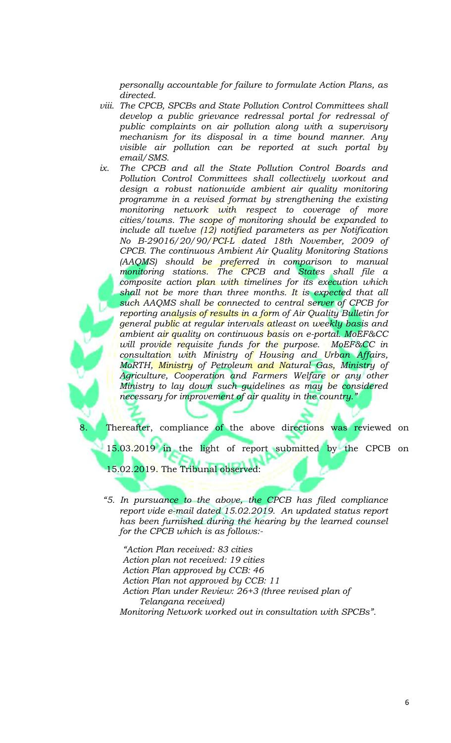*personally accountable for failure to formulate Action Plans, as directed.* 

- *viii. The CPCB, SPCBs and State Pollution Control Committees shall develop a public grievance redressal portal for redressal of public complaints on air pollution along with a supervisory mechanism for its disposal in a time bound manner. Any visible air pollution can be reported at such portal by email/SMS.*
- *ix. The CPCB and all the State Pollution Control Boards and Pollution Control Committees shall collectively workout and design a robust nationwide ambient air quality monitoring programme in a revised format by strengthening the existing monitoring network with respect to coverage of more cities/towns. The scope of monitoring should be expanded to include all twelve (12) notified parameters as per Notification No B-29016/20/90/PCI-L dated 18th November, 2009 of CPCB. The continuous Ambient Air Quality Monitoring Stations (AAQMS) should be preferred in comparison to manual monitoring stations. The CPCB and States shall file a composite action plan with timelines for its execution which*  shall not be more than three months. It is expected that all *such AAQMS shall be connected to central server of CPCB for reporting analysis of results in a form of Air Quality Bulletin for general public at regular intervals atleast on weekly basis and ambient air quality on continuous basis on e-portal. MoEF&CC will provide requisite funds for the purpose. MoEF&CC in consultation with Ministry of Housing and Urban Affairs, MoRTH, Ministry of Petroleum and Natural Gas, Ministry of Agriculture, Cooperation and Farmers Welfare or any other Ministry to lay down such guidelines as may be considered necessary for improvement of air quality in the country."*

Thereafter, compliance of the above directions was reviewed on

15.03.2019 in the light of report submitted by the CPCB on

15.02.2019. The Tribunal observed:

*"5. In pursuance to the above, the CPCB has filed compliance report vide e-mail dated 15.02.2019. An updated status report has been furnished during the hearing by the learned counsel for the CPCB which is as follows:-*

*"Action Plan received: 83 cities Action plan not received: 19 cities Action Plan approved by CCB: 46 Action Plan not approved by CCB: 11 Action Plan under Review: 26+3 (three revised plan of Telangana received) Monitoring Network worked out in consultation with SPCBs".*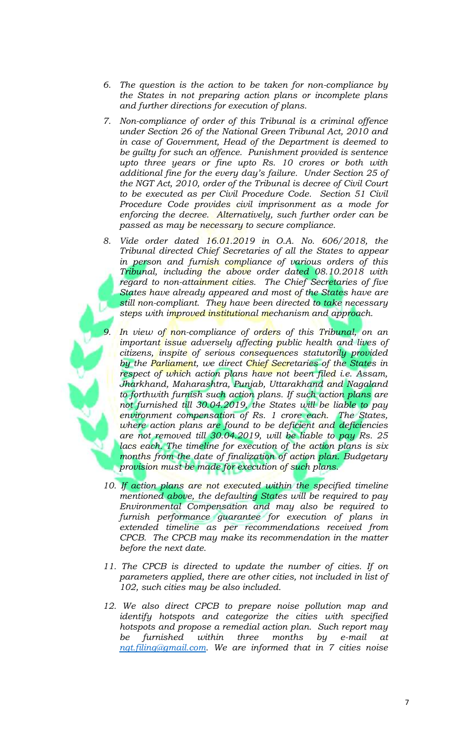- *6. The question is the action to be taken for non-compliance by the States in not preparing action plans or incomplete plans and further directions for execution of plans.*
- *7. Non-compliance of order of this Tribunal is a criminal offence under Section 26 of the National Green Tribunal Act, 2010 and in case of Government, Head of the Department is deemed to be guilty for such an offence. Punishment provided is sentence upto three years or fine upto Rs. 10 crores or both with additional fine for the every day's failure. Under Section 25 of the NGT Act, 2010, order of the Tribunal is decree of Civil Court to be executed as per Civil Procedure Code. Section 51 Civil Procedure Code provides civil imprisonment as a mode for enforcing the decree. Alternatively, such further order can be passed as may be necessary to secure compliance.*
- *8. Vide order dated 16.01.2019 in O.A. No. 606/2018, the Tribunal directed Chief Secretaries of all the States to appear in person and furnish compliance of various orders of this Tribunal, including the above order dated 08.10.2018 with regard to non-attainment cities. The Chief Secretaries of five States have already appeared and most of the States have are still non-compliant. They have been directed to take necessary steps with improved institutional mechanism and approach.*
	- *9. In view of non-compliance of orders of this Tribunal, on an important issue adversely affecting public health and lives of citizens, inspite of serious consequences statutorily provided by the Parliament, we direct Chief Secretaries of the States in respect of which action plans have not been filed i.e. Assam, Jharkhand, Maharashtra, Punjab, Uttarakhand and Nagaland to forthwith furnish such action plans. If such action plans are not furnished till 30.04.2019, the States will be liable to pay environment compensation of Rs. 1 crore each. The States, where action plans are found to be deficient and deficiencies are not removed till 30.04.2019, will be liable to pay Rs. 25 lacs each. The timeline for execution of the action plans is six months from the date of finalization of action plan. Budgetary provision must be made for execution of such plans.*
- 10. If action plans are not executed within the specified timeline *mentioned above, the defaulting States will be required to pay Environmental Compensation and may also be required to furnish performance guarantee for execution of plans in extended timeline as per recommendations received from CPCB. The CPCB may make its recommendation in the matter before the next date.*
- *11. The CPCB is directed to update the number of cities. If on parameters applied, there are other cities, not included in list of 102, such cities may be also included.*
- *12. We also direct CPCB to prepare noise pollution map and identify hotspots and categorize the cities with specified hotspots and propose a remedial action plan. Such report may be furnished within three months by e-mail at ngt.filing@gmail.com. We are informed that in 7 cities noise*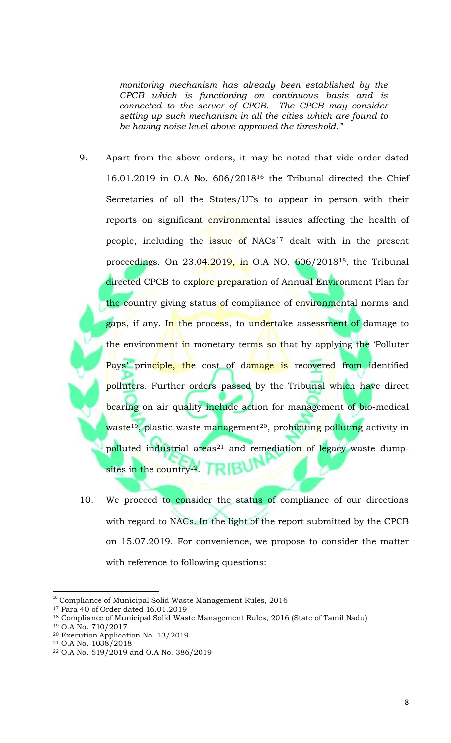*monitoring mechanism has already been established by the CPCB which is functioning on continuous basis and is connected to the server of CPCB. The CPCB may consider setting up such mechanism in all the cities which are found to be having noise level above approved the threshold."*

- 9. Apart from the above orders, it may be noted that vide order dated 16.01.2019 in O.A No. 606/2018<sup>16</sup> the Tribunal directed the Chief Secretaries of all the States/UTs to appear in person with their reports on significant environmental issues affecting the health of people, including the issue of NACs<sup>17</sup> dealt with in the present proceedings. On  $23.04.2019$ , in O.A NO.  $606/2018^{18}$ , the Tribunal directed CPCB to explore preparation of Annual Environment Plan for the country giving status of compliance of environmental norms and gaps, if any. I<mark>n the proces</mark>s, to undertake assessment of damage to the environment in monetary terms so that by applying the 'Polluter Pays' principle, the cost of damage is recovered from identified polluters. Further orders passed by the Tribunal which have direct bearing on air quality include action for management of bio-medical waste<sup>19</sup>, plastic waste management<sup>20</sup>, prohibiting polluting activity in polluted industrial areas<sup>21</sup> and remediation of legacy waste dump-RIB sites in the country<sup>22</sup>.
- 10. We proceed to consider the status of compliance of our directions with regard to NACs. In the light of the report submitted by the CPCB on 15.07.2019. For convenience, we propose to consider the matter with reference to following questions:

 $^{16}$  Compliance of Municipal Solid Waste Management Rules,  $2016\,$ 

<sup>17</sup> Para 40 of Order dated 16.01.2019

<sup>&</sup>lt;sup>18</sup> Compliance of Municipal Solid Waste Management Rules, 2016 (State of Tamil Nadu)

<sup>19</sup> O.A No. 710/2017

<sup>20</sup> Execution Application No. 13/2019

<sup>21</sup> O.A No. 1038/2018

<sup>22</sup> O.A No. 519/2019 and O.A No. 386/2019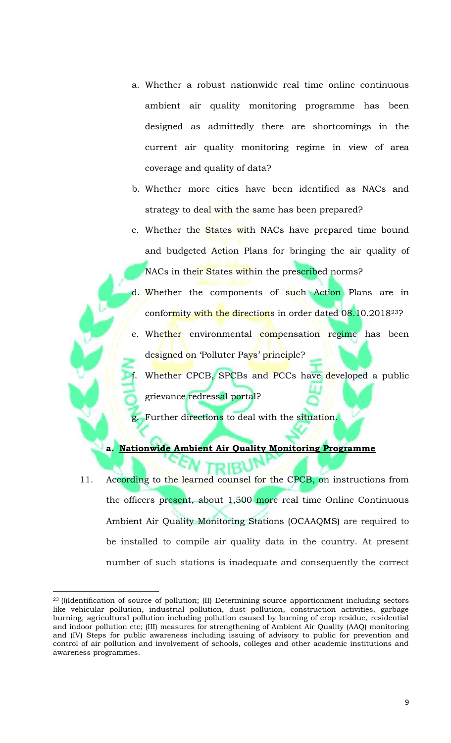- a. Whether a robust nationwide real time online continuous ambient air quality monitoring programme has been designed as admittedly there are shortcomings in the current air quality monitoring regime in view of area coverage and quality of data?
- b. Whether more cities have been identified as NACs and strategy to deal with the same has been prepared?
- c. Whether the States with NACs have prepared time bound and budgeted Action Plans for bringing the air quality of NACs in their States within the prescribed norms?
- d. Whether the components of such Action Plans are in conformity with the directions in order dated 08.10.2018<sup>23</sup>?
- e. Whether environmental compensation regime has been designed on 'Polluter Pays' principle?

Whether CPCB, SPCBs and PCCs have developed a public grievance redressal portal?

Further directions to deal with the situation.

# **a. Nationwide Ambient Air Quality Monitoring Programme**

11. According to the learned counsel for the CPCB, on instructions from the officers present, about 1,500 more real time Online Continuous Ambient Air Quality Monitoring Stations (OCAAQMS) are required to be installed to compile air quality data in the country. At present number of such stations is inadequate and consequently the correct

<sup>&</sup>lt;sup>23</sup> (I)Identification of source of pollution; (II) Determining source apportionment including sectors like vehicular pollution, industrial pollution, dust pollution, construction activities, garbage burning, agricultural pollution including pollution caused by burning of crop residue, residential and indoor pollution etc; (III) measures for strengthening of Ambient Air Quality (AAQ) monitoring and (IV) Steps for public awareness including issuing of advisory to public for prevention and control of air pollution and involvement of schools, colleges and other academic institutions and awareness programmes.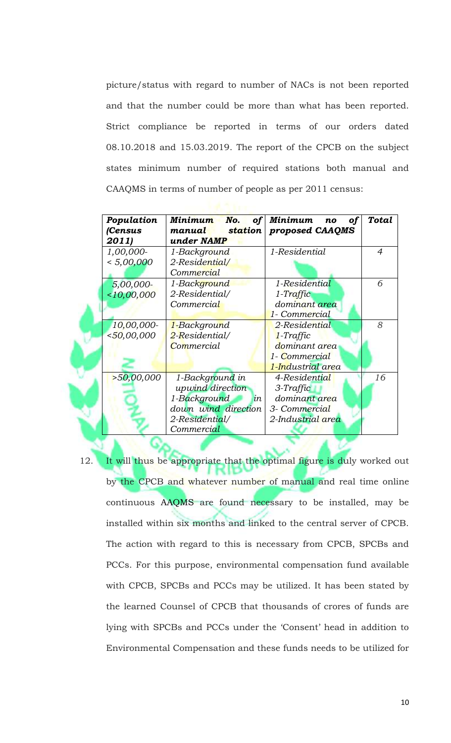picture/status with regard to number of NACs is not been reported and that the number could be more than what has been reported. Strict compliance be reported in terms of our orders dated 08.10.2018 and 15.03.2019. The report of the CPCB on the subject states minimum number of required stations both manual and CAAQMS in terms of number of people as per 2011 census:

| Population<br>(Census | No.<br>Minimum<br>$\mid$ station $\mid$<br>manual | of Minimum<br><b>of</b><br>no<br>proposed CAAQMS | Total          |
|-----------------------|---------------------------------------------------|--------------------------------------------------|----------------|
| 2011)                 | under NAMP                                        |                                                  |                |
| 1,00,000-             | 1-Background                                      | 1-Residential                                    | $\overline{4}$ |
| < 5,00,000            | 2-Residential/                                    |                                                  |                |
|                       | Commercial                                        |                                                  |                |
| 5,00,000-             | 1-Background                                      | 1-Residential                                    | 6              |
| $<$ 10,00,000         | 2-Residential/                                    | $1-Traffic$                                      |                |
|                       | Commercial                                        | dominant area                                    |                |
|                       |                                                   | 1- Commercial                                    |                |
| 10,00,000             | 1-Background                                      | 2-Residential                                    | 8              |
| $<$ 50,00,000         | 2-Residential/                                    | 1-Traffic                                        |                |
|                       | Commercial                                        | dominant area                                    |                |
|                       |                                                   | 1- Commercial                                    |                |
|                       |                                                   | 1-Industrial area                                |                |
| >50,00,000            | 1-Background in                                   | 4-Residential                                    | 16             |
|                       | upwind direction                                  | 3-Traffic                                        |                |
|                       | 1-Background<br>in                                | dominant area                                    |                |
|                       | down wind direction                               | 3- Commercial                                    |                |
|                       | 2-Residential/                                    | 2-Industrial area                                |                |
|                       | Commercial                                        |                                                  |                |

12. It will thus be appropriate that the optimal figure is duly worked out by the CPCB and whatever number of manual and real time online continuous AAQMS are found necessary to be installed, may be installed within six months and linked to the central server of CPCB. The action with regard to this is necessary from CPCB, SPCBs and PCCs. For this purpose, environmental compensation fund available with CPCB, SPCBs and PCCs may be utilized. It has been stated by the learned Counsel of CPCB that thousands of crores of funds are lying with SPCBs and PCCs under the 'Consent' head in addition to Environmental Compensation and these funds needs to be utilized for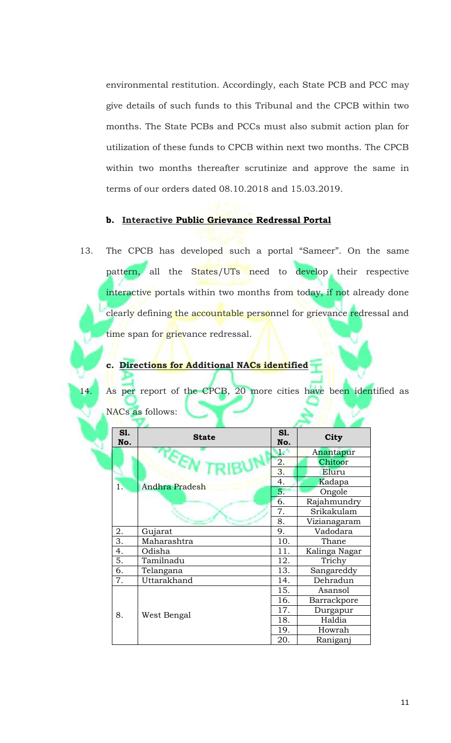environmental restitution. Accordingly, each State PCB and PCC may give details of such funds to this Tribunal and the CPCB within two months. The State PCBs and PCCs must also submit action plan for utilization of these funds to CPCB within next two months. The CPCB within two months thereafter scrutinize and approve the same in terms of our orders dated 08.10.2018 and 15.03.2019.

# **b. Interactive Public Grievance Redressal Portal**

13. The CPCB has developed such a portal "Sameer". On the same pattern, all the States/UTs need to develop their respective interactive portals within two months from today, if not already done clearly defining the accountable personnel for grievance redressal and time span for grievance redressal.

# **c. Directions for Additional NACs identified**

As per report of the CPCB, 20 more cities have been identified as NACs as follows:

| <b>S1.</b><br>No. | <b>State</b>   | S1.<br>No. | City          |  |
|-------------------|----------------|------------|---------------|--|
|                   |                | أعما       | Anantapur     |  |
|                   | TEET           | 2.         | Chitoor       |  |
|                   |                | 3.         | Eluru         |  |
| 1.                | Andhra Pradesh | 4.         | Kadapa        |  |
|                   |                | 5.         | Ongole        |  |
|                   |                | 6.         | Rajahmundry   |  |
|                   |                | 7.         | Srikakulam    |  |
|                   |                | 8.         | Vizianagaram  |  |
| 2.                | Gujarat        | 9.         | Vadodara      |  |
| 3.                | Maharashtra    | 10.        | Thane         |  |
| 4.                | Odisha         | 11.        | Kalinga Nagar |  |
| 5.                | Tamilnadu      | 12.        | Trichy        |  |
| 6.                | Telangana      | 13.        | Sangareddy    |  |
| 7.                | Uttarakhand    | 14.        | Dehradun      |  |
|                   |                | 15.        | Asansol       |  |
|                   |                | 16.        | Barrackpore   |  |
| 8.                | West Bengal    | 17.        | Durgapur      |  |
|                   |                | 18.        | Haldia        |  |
|                   |                | 19.        | Howrah        |  |
|                   |                | 20.        | Raniganj      |  |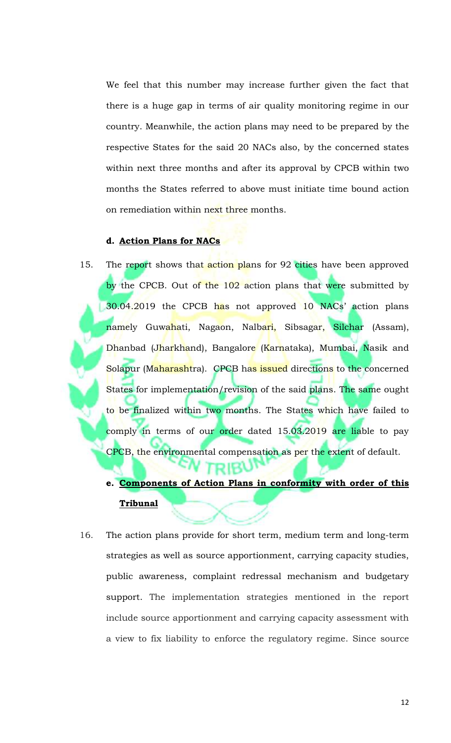We feel that this number may increase further given the fact that there is a huge gap in terms of air quality monitoring regime in our country. Meanwhile, the action plans may need to be prepared by the respective States for the said 20 NACs also, by the concerned states within next three months and after its approval by CPCB within two months the States referred to above must initiate time bound action on remediation within next three months.

## **d. Action Plans for NACs**

- 15. The report shows that action plans for 92 cities have been approved by the CPCB. Out of the 102 action plans that were submitted by 30.04.2019 the CPCB has not approved 10 NACs' action plans namely Guwahati, Nagaon, Nalbari, Sibsagar, Silchar (Assam), Dhanbad (Jharkhand), Bangalore (Karnataka), Mumbai, Nasik and Solapur (Maharashtra). CPCB has issued directions to the concerned States for implementation/revision of the said plans. The same ought to be finalized within two months. The States which have failed to comply in terms of our order dated 15.03.2019 are liable to pay CPCB, the environmental compensation as per the extent of default.
	- **e. Components of Action Plans in conformity with order of this Tribunal**

יטאופ

16. The action plans provide for short term, medium term and long-term strategies as well as source apportionment, carrying capacity studies, public awareness, complaint redressal mechanism and budgetary support. The implementation strategies mentioned in the report include source apportionment and carrying capacity assessment with a view to fix liability to enforce the regulatory regime. Since source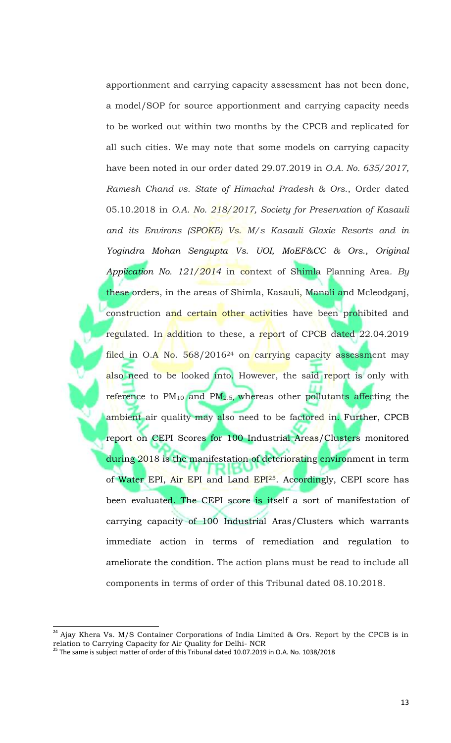apportionment and carrying capacity assessment has not been done, a model/SOP for source apportionment and carrying capacity needs to be worked out within two months by the CPCB and replicated for all such cities. We may note that some models on carrying capacity have been noted in our order dated 29.07.2019 in *O.A. No. 635/2017, Ramesh Chand vs. State of Himachal Pradesh & Ors*., Order dated 05.10.2018 in *O.A. No. 218/2017, Society for Preservation of Kasauli and its Environs (SPOKE) Vs. M/s Kasauli Glaxie Resorts and in Yogindra Mohan Sengupta Vs. UOI, MoEF&CC & Ors., Original Application No. 121/2014* in context of Shimla Planning Area*. By*  these orders, in the areas of Shimla, Kasauli, Manali and Mcleodganj, construction and certain other activities have been prohibited and regulated. In addition to these, a report of CPCB dated 22.04.2019 filed in  $O.A$  No. 568/2016<sup>24</sup> on carrying capacity assessment may also need to be looked into. However, the said report is only with reference to  $PM_{10}$  and  $PM_{2.5}$ , whereas other pollutants affecting the ambient air quality may also need to be factored in. Further, CPCB report on CEPI Scores for 100 Industrial Areas/Clusters monitored during 2018 is the manifestation of deteriorating environment in term of Water EPI, Air EPI and Land EPI<sup>25</sup>. Accordingly, CEPI score has been evaluated. The CEPI score is itself a sort of manifestation of carrying capacity of 100 Industrial Aras/Clusters which warrants immediate action in terms of remediation and regulation to ameliorate the condition. The action plans must be read to include all components in terms of order of this Tribunal dated 08.10.2018.

 $24$  Ajay Khera Vs. M/S Container Corporations of India Limited & Ors. Report by the CPCB is in relation to Carrying Capacity for Air Quality for Delhi- NCR

 $^{25}$  The same is subject matter of order of this Tribunal dated 10.07.2019 in O.A. No. 1038/2018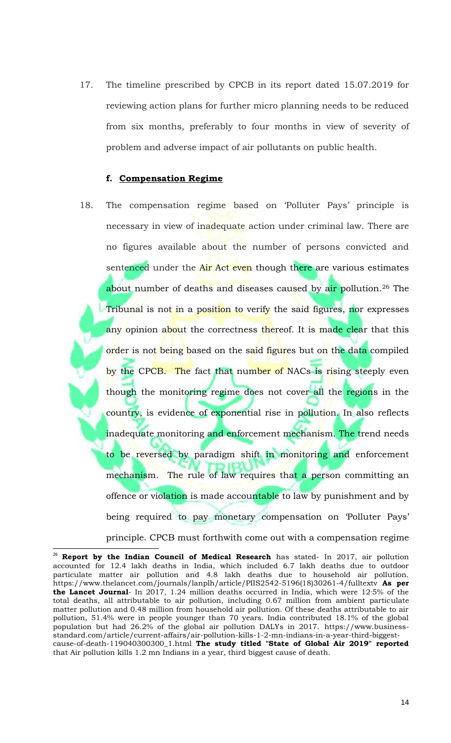17. The timeline prescribed by CPCB in its report dated 15.07.2019 for reviewing action plans for further micro planning needs to be reduced from six months, preferably to four months in view of severity of problem and adverse impact of air pollutants on public health.

### **f. Compensation Regime**

l

18. The compensation regime based on 'Polluter Pays' principle is necessary in view of inadequate action under criminal law. There are no figures available about the number of persons convicted and sentenced under the Air Act even though there are various estimates about number of deaths and diseases caused by air pollution.<sup>26</sup> The Tribunal is not in a position to verify the said figures, nor expresses any opinion about the correctness thereof. It is made clear that this order is not being based on the said figures but on the data compiled by the CPCB. The fact that number of NACs is rising steeply even though the monitoring regime does not cover all the regions in the country, is evidence of exponential rise in pollution. In also reflects inadequate monitoring and enforcement mechanism. The trend needs to be reversed by paradigm shift in monitoring and enforcement mechanism. The rule of law requires that a person committing an offence or violation is made accountable to law by punishment and by being required to pay monetary compensation on 'Polluter Pays' principle. CPCB must forthwith come out with a compensation regime

<sup>&</sup>lt;sup>26</sup> **Report by the Indian Council of Medical Research** has stated- In 2017, air pollution accounted for 12.4 lakh deaths in India, which included 6.7 lakh deaths due to outdoor particulate matter air pollution and 4.8 lakh deaths due to household air pollution. https://www.thelancet.com/journals/lanplh/article/PIIS2542-5196(18)30261-4/fulltextv **As per the Lancet Journal**- In 2017, 1.24 million deaths occurred in India, which were 12·5% of the total deaths, all attributable to air pollution, including 0.67 million from ambient particulate matter pollution and 0.48 million from household air pollution. Of these deaths attributable to air pollution, 51.4% were in people younger than 70 years. India contributed 18.1% of the global population but had 26.2% of the global air pollution DALYs in 2017. https://www.businessstandard.com/article/current-affairs/air-pollution-kills-1-2-mn-indians-in-a-year-third-biggestcause-of-death-119040300300\_1.html **The study titled "State of Global Air 2019" reported** that Air pollution kills 1.2 mn Indians in a year, third biggest cause of death.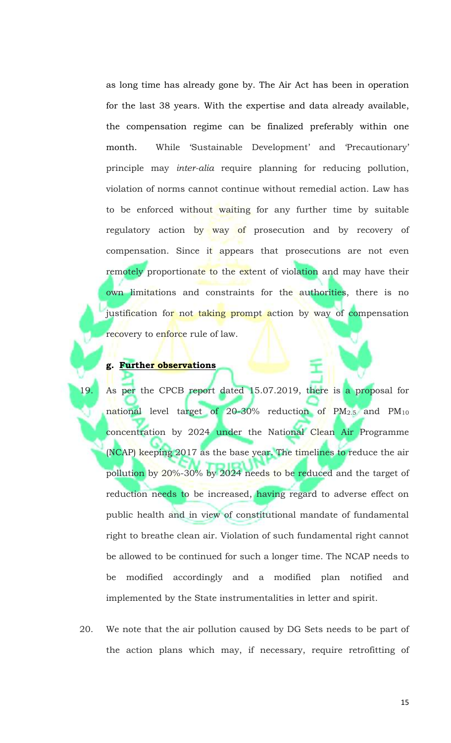as long time has already gone by. The Air Act has been in operation for the last 38 years. With the expertise and data already available, the compensation regime can be finalized preferably within one month. While 'Sustainable Development' and 'Precautionary' principle may *inter-alia* require planning for reducing pollution, violation of norms cannot continue without remedial action. Law has to be enforced without waiting for any further time by suitable regulatory action by way of prosecution and by recovery of compensation. Since it appears that prosecutions are not even remotely proportionate to the extent of violation and may have their own limitations and constraints for the authorities, there is no justification for not taking prompt action by way of compensation recovery to enforce rule of law.

## **g. Further observations**

- 19. As per the CPCB report dated 15.07.2019, there is a proposal for national level target of 20-30% reduction of  $PM_{2.5}$  and  $PM_{10}$ concentration by 2024 under the National Clean Air Programme (NCAP) keeping 2017 as the base year. The timelines to reduce the air pollution by 20%-30% by 2024 needs to be reduced and the target of reduction needs to be increased, having regard to adverse effect on public health and in view of constitutional mandate of fundamental right to breathe clean air. Violation of such fundamental right cannot be allowed to be continued for such a longer time. The NCAP needs to be modified accordingly and a modified plan notified and implemented by the State instrumentalities in letter and spirit.
- 20. We note that the air pollution caused by DG Sets needs to be part of the action plans which may, if necessary, require retrofitting of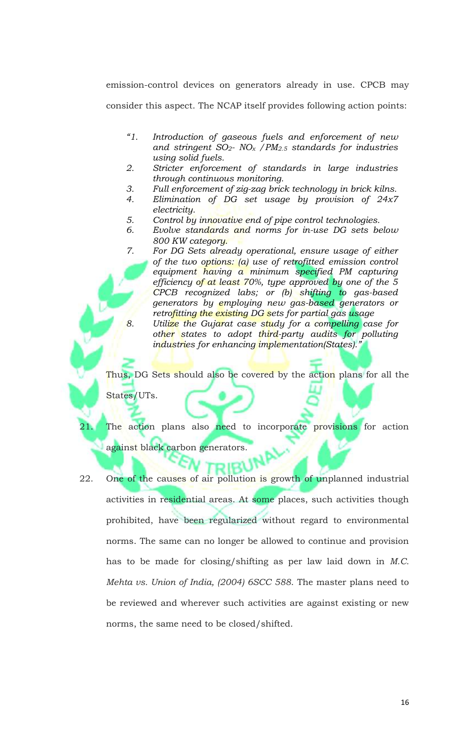emission-control devices on generators already in use. CPCB may consider this aspect. The NCAP itself provides following action points:

- *"1. Introduction of gaseous fuels and enforcement of new and stringent SO2- NO<sup>x</sup> /PM2.5 standards for industries using solid fuels.*
- *2. Stricter enforcement of standards in large industries through continuous monitoring.*
- *3. Full enforcement of zig-zag brick technology in brick kilns.*
- *4. Elimination of DG set usage by provision of 24x7 electricity.*
- *5. Control by innovative end of pipe control technologies.*
- *6. Evolve standards and norms for in-use DG sets below 800 KW category.*
- *7. For DG Sets already operational, ensure usage of either of the two options: (a) use of retrofitted emission control equipment having a minimum specified PM capturing efficiency of at least 70%, type approved by one of the 5 CPCB recognized labs; or (b) shifting to gas-based generators by employing new gas-based generators or retrofitting the existing DG sets for partial gas usage 8. Utilize the Gujarat case study for a compelling case for other states to adopt third-party audits for polluting*

*industries for enhancing implementation(States)."*

Thus, DG Sets should also be covered by the action plans for all the

States/UTs.

The action plans also need to incorporate provisions for action against black carbon generators.

22. One of the causes of air pollution is growth of unplanned industrial activities in residential areas. At some places, such activities though prohibited, have been regularized without regard to environmental norms. The same can no longer be allowed to continue and provision has to be made for closing/shifting as per law laid down in *M.C. Mehta vs. Union of India, (2004) 6SCC 588*. The master plans need to be reviewed and wherever such activities are against existing or new norms, the same need to be closed/shifted.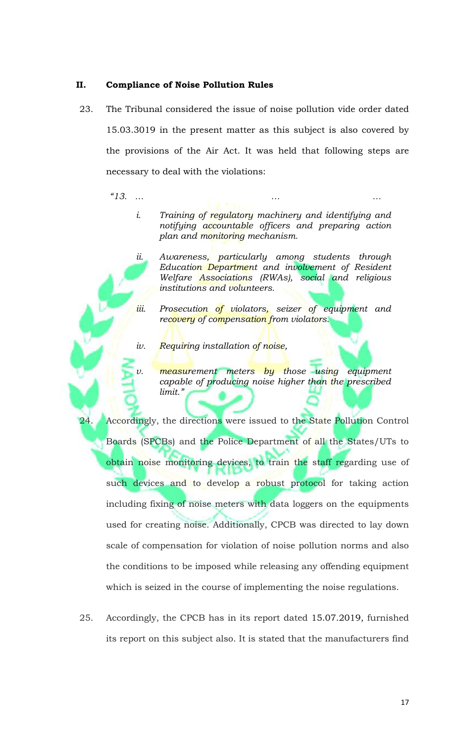### **II. Compliance of Noise Pollution Rules**

23. The Tribunal considered the issue of noise pollution vide order dated 15.03.3019 in the present matter as this subject is also covered by the provisions of the Air Act. It was held that following steps are necessary to deal with the violations:

*"13. … … …*

- *i. Training of regulatory machinery and identifying and notifying accountable officers and preparing action plan and monitoring mechanism.*
- *ii. Awareness, particularly among students through Education Department and involvement of Resident Welfare Associations (RWAs), social and religious institutions and volunteers.*
- *iii. Prosecution of violators, seizer of equipment and recovery of compensation from violators.*
- *iv. Requiring installation of noise,*
- *v. measurement meters by those using equipment capable of producing noise higher than the prescribed limit."*

24. Accordingly, the directions were issued to the State Pollution Control Boards (SPCBs) and the Police Department of all the States/UTs to obtain noise monitoring devices, to train the staff regarding use of such devices and to develop a robust protocol for taking action including fixing of noise meters with data loggers on the equipments used for creating noise. Additionally, CPCB was directed to lay down scale of compensation for violation of noise pollution norms and also the conditions to be imposed while releasing any offending equipment which is seized in the course of implementing the noise regulations.

25. Accordingly, the CPCB has in its report dated 15.07.2019, furnished its report on this subject also. It is stated that the manufacturers find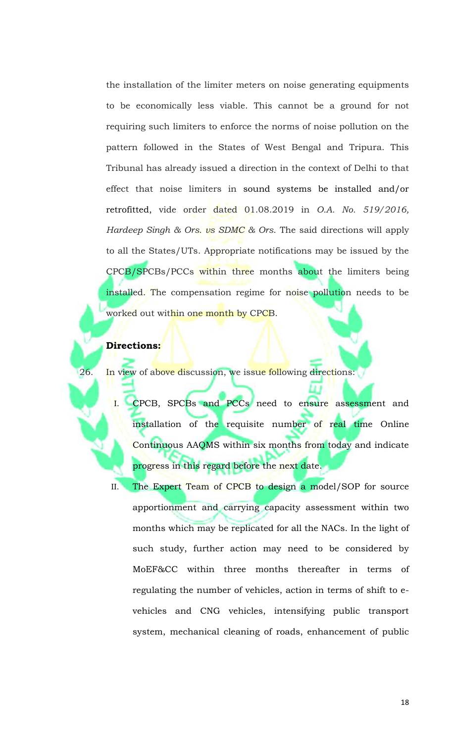the installation of the limiter meters on noise generating equipments to be economically less viable. This cannot be a ground for not requiring such limiters to enforce the norms of noise pollution on the pattern followed in the States of West Bengal and Tripura. This Tribunal has already issued a direction in the context of Delhi to that effect that noise limiters in sound systems be installed and/or retrofitted, vide order dated 01.08.2019 in *O.A. No. 519/2016, Hardeep Singh & Ors. vs SDMC & Ors*. The said directions will apply to all the States/UTs. Appropriate notifications may be issued by the CPCB/SPCBs/PCCs within three months about the limiters being installed. The compensation regime for noise pollution needs to be worked out within one month by CPCB.

#### **Directions:**

26. In view of above discussion, we issue following directions:

- I. CPCB, SPCBs and PCCs need to ensure assessment and installation of the requisite number of real time Online Continuous AAQMS within six months from today and indicate progress in this regard before the next date.
- II. The Expert Team of CPCB to design a model/SOP for source apportionment and carrying capacity assessment within two months which may be replicated for all the NACs. In the light of such study, further action may need to be considered by MoEF&CC within three months thereafter in terms of regulating the number of vehicles, action in terms of shift to evehicles and CNG vehicles, intensifying public transport system, mechanical cleaning of roads, enhancement of public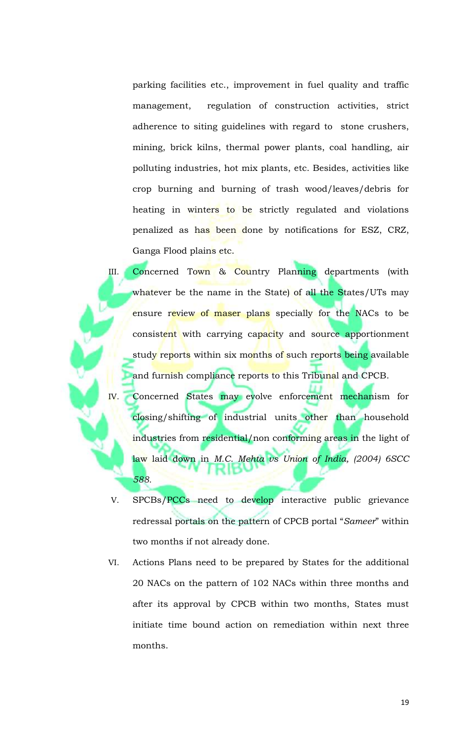parking facilities etc., improvement in fuel quality and traffic management, regulation of construction activities, strict adherence to siting guidelines with regard to stone crushers, mining, brick kilns, thermal power plants, coal handling, air polluting industries, hot mix plants, etc. Besides, activities like crop burning and burning of trash wood/leaves/debris for heating in winters to be strictly regulated and violations penalized as has been done by notifications for ESZ, CRZ, Ganga Flood plains etc.

III. Concerned Town & Country Planning departments (with whatever be the name in the State) of all the States/UTs may ensure review of maser plans specially for the NACs to be consistent with carrying capacity and source apportionment study reports within six months of such reports being available and furnish compliance reports to this Tribunal and CPCB.

IV. Concerned States may evolve enforcement mechanism for closing/shifting of industrial units other than household industries from residential/non conforming areas in the light of law laid down in *M.C. Mehta vs Union of India, (2004) 6SCC 588.*

- V. SPCBs/PCCs need to develop interactive public grievance redressal portals on the pattern of CPCB portal "*Sameer*" within two months if not already done.
- VI. Actions Plans need to be prepared by States for the additional 20 NACs on the pattern of 102 NACs within three months and after its approval by CPCB within two months, States must initiate time bound action on remediation within next three months.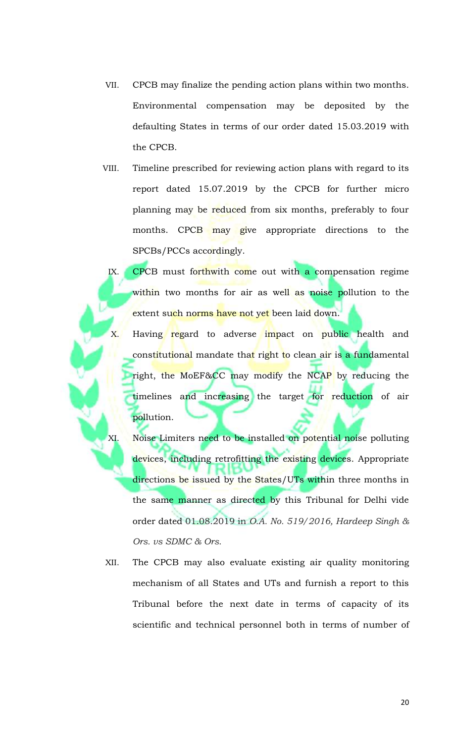- VII. CPCB may finalize the pending action plans within two months. Environmental compensation may be deposited by the defaulting States in terms of our order dated 15.03.2019 with the CPCB.
- VIII. Timeline prescribed for reviewing action plans with regard to its report dated 15.07.2019 by the CPCB for further micro planning may be reduced from six months, preferably to four months. CPCB may give appropriate directions to the SPCBs/PCCs accordingly.

IX. CPCB must forthwith come out with a compensation regime within two months for air as well as noise pollution to the extent such norms have not yet been laid down.

Having regard to adverse impact on public health and constitutional mandate that right to clean air is a fundamental right, the MoEF&CC may modify the NCAP by reducing the timelines and increasing the target for reduction of air pollution.

XI. Noise Limiters need to be installed on potential noise polluting devices, including retrofitting the existing devices. Appropriate directions be issued by the States/UTs within three months in the same manner as directed by this Tribunal for Delhi vide order dated 01.08.2019 in *O.A. No. 519/2016, Hardeep Singh & Ors. vs SDMC & Ors*.

XII. The CPCB may also evaluate existing air quality monitoring mechanism of all States and UTs and furnish a report to this Tribunal before the next date in terms of capacity of its scientific and technical personnel both in terms of number of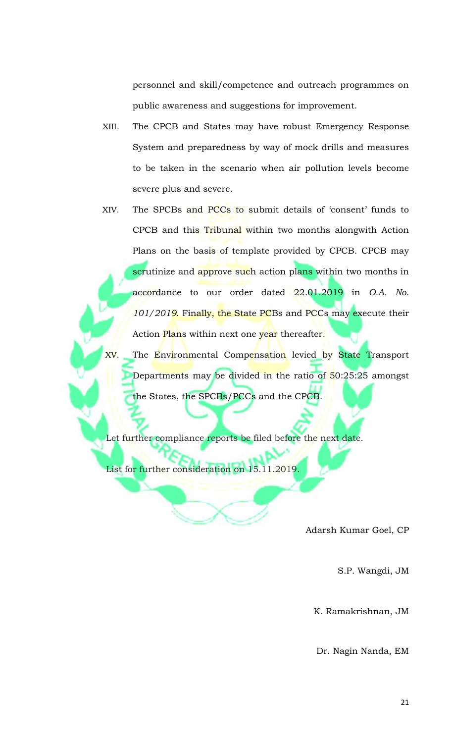personnel and skill/competence and outreach programmes on public awareness and suggestions for improvement.

- XIII. The CPCB and States may have robust Emergency Response System and preparedness by way of mock drills and measures to be taken in the scenario when air pollution levels become severe plus and severe.
- XIV. The SPCBs and PCCs to submit details of 'consent' funds to CPCB and this Tribunal within two months alongwith Action Plans on the basis of template provided by CPCB. CPCB may scrutinize and approve such action plans within two months in accordance to our order dated 22.01.2019 in *O.A. No. 101/2019*. Finally, the State PCBs and PCCs may execute their Action Plans within next one year thereafter.

XV. The Environmental Compensation levied by State Transport Departments may be divided in the ratio of 50:25:25 amongst the States, the SPCBs/PCCs and the CPCB.

Let further compliance reports be filed before the next date.

List for further consideration on 15.11.2019.

Adarsh Kumar Goel, CP

S.P. Wangdi, JM

K. Ramakrishnan, JM

Dr. Nagin Nanda, EM